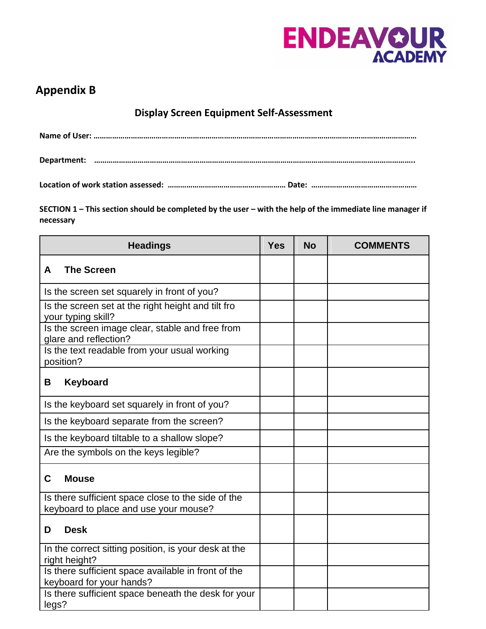

## **Appendix B**

**Display Screen Equipment Self-Assessment**

**Location of work station assessed: ………………………………………………… Date: ……………………………………………**

**SECTION 1 – This section should be completed by the user – with the help of the immediate line manager if necessary**

| <b>Headings</b>                                                                 |  | <b>No</b> | <b>COMMENTS</b> |
|---------------------------------------------------------------------------------|--|-----------|-----------------|
| <b>The Screen</b><br>A                                                          |  |           |                 |
| Is the screen set squarely in front of you?                                     |  |           |                 |
| Is the screen set at the right height and tilt fro<br>your typing skill?        |  |           |                 |
| Is the screen image clear, stable and free from<br>glare and reflection?        |  |           |                 |
| Is the text readable from your usual working<br>position?                       |  |           |                 |
| <b>Keyboard</b><br>Β                                                            |  |           |                 |
| Is the keyboard set squarely in front of you?                                   |  |           |                 |
| Is the keyboard separate from the screen?                                       |  |           |                 |
| Is the keyboard tiltable to a shallow slope?                                    |  |           |                 |
| Are the symbols on the keys legible?                                            |  |           |                 |
| C<br><b>Mouse</b>                                                               |  |           |                 |
| Is there sufficient space close to the side of the                              |  |           |                 |
| keyboard to place and use your mouse?                                           |  |           |                 |
| <b>Desk</b><br>D                                                                |  |           |                 |
| In the correct sitting position, is your desk at the<br>right height?           |  |           |                 |
| Is there sufficient space available in front of the<br>keyboard for your hands? |  |           |                 |
| Is there sufficient space beneath the desk for your<br>legs?                    |  |           |                 |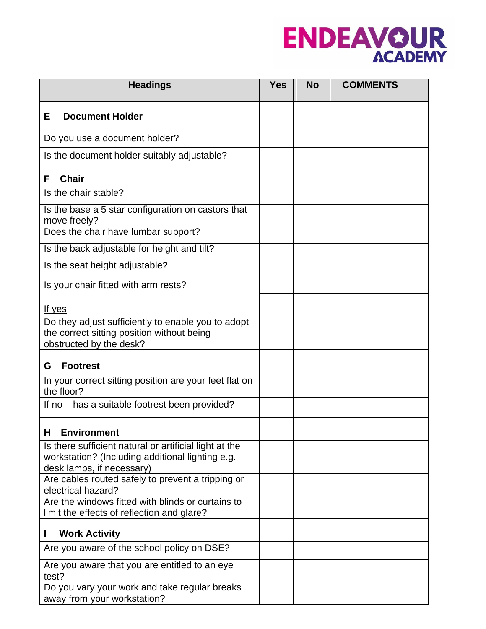

| <b>Headings</b>                                                                                                                              |  | <b>No</b> | <b>COMMENTS</b> |
|----------------------------------------------------------------------------------------------------------------------------------------------|--|-----------|-----------------|
| <b>Document Holder</b><br>Е                                                                                                                  |  |           |                 |
| Do you use a document holder?                                                                                                                |  |           |                 |
| Is the document holder suitably adjustable?                                                                                                  |  |           |                 |
| <b>Chair</b><br>F                                                                                                                            |  |           |                 |
| Is the chair stable?                                                                                                                         |  |           |                 |
| Is the base a 5 star configuration on castors that<br>move freely?                                                                           |  |           |                 |
| Does the chair have lumbar support?                                                                                                          |  |           |                 |
| Is the back adjustable for height and tilt?                                                                                                  |  |           |                 |
| Is the seat height adjustable?                                                                                                               |  |           |                 |
| Is your chair fitted with arm rests?                                                                                                         |  |           |                 |
| <u>If yes</u><br>Do they adjust sufficiently to enable you to adopt<br>the correct sitting position without being<br>obstructed by the desk? |  |           |                 |
| <b>Footrest</b><br>G                                                                                                                         |  |           |                 |
| In your correct sitting position are your feet flat on<br>the floor?                                                                         |  |           |                 |
| If no - has a suitable footrest been provided?                                                                                               |  |           |                 |
| <b>H</b> Environment                                                                                                                         |  |           |                 |
| Is there sufficient natural or artificial light at the<br>workstation? (Including additional lighting e.g.<br>desk lamps, if necessary)      |  |           |                 |
| Are cables routed safely to prevent a tripping or<br>electrical hazard?                                                                      |  |           |                 |
| Are the windows fitted with blinds or curtains to<br>limit the effects of reflection and glare?                                              |  |           |                 |
| <b>Work Activity</b><br>L                                                                                                                    |  |           |                 |
| Are you aware of the school policy on DSE?                                                                                                   |  |           |                 |
| Are you aware that you are entitled to an eye<br>test?                                                                                       |  |           |                 |
| Do you vary your work and take regular breaks<br>away from your workstation?                                                                 |  |           |                 |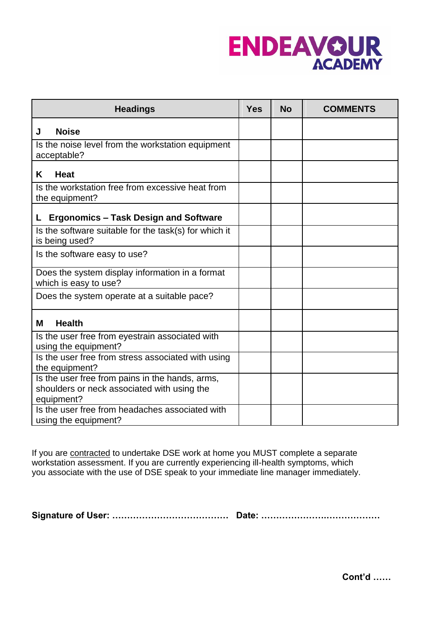

| <b>Headings</b>                                                                                              | <b>Yes</b> | <b>No</b> | <b>COMMENTS</b> |
|--------------------------------------------------------------------------------------------------------------|------------|-----------|-----------------|
| <b>Noise</b><br>J                                                                                            |            |           |                 |
| Is the noise level from the workstation equipment<br>acceptable?                                             |            |           |                 |
| K<br><b>Heat</b>                                                                                             |            |           |                 |
| Is the workstation free from excessive heat from<br>the equipment?                                           |            |           |                 |
| L Ergonomics – Task Design and Software                                                                      |            |           |                 |
| Is the software suitable for the task(s) for which it<br>is being used?                                      |            |           |                 |
| Is the software easy to use?                                                                                 |            |           |                 |
| Does the system display information in a format<br>which is easy to use?                                     |            |           |                 |
| Does the system operate at a suitable pace?                                                                  |            |           |                 |
| <b>Health</b><br>м                                                                                           |            |           |                 |
| Is the user free from eyestrain associated with<br>using the equipment?                                      |            |           |                 |
| Is the user free from stress associated with using<br>the equipment?                                         |            |           |                 |
| Is the user free from pains in the hands, arms,<br>shoulders or neck associated with using the<br>equipment? |            |           |                 |
| Is the user free from headaches associated with<br>using the equipment?                                      |            |           |                 |

If you are **contracted** to undertake DSE work at home you MUST complete a separate workstation assessment. If you are currently experiencing ill-health symptoms, which you associate with the use of DSE speak to your immediate line manager immediately.

**Signature of User: ………………………………… Date: ………………….………………**